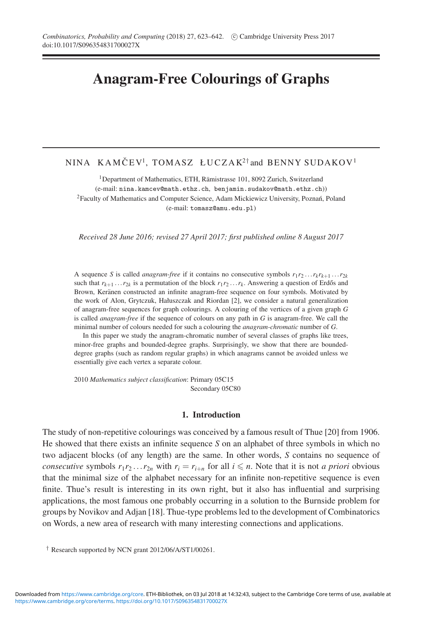# **Anagram-Free Colourings of Graphs**

## NINA KAMČEV<sup>1</sup>, TOMASZ ŁUCZAK<sup>2†</sup> and BENNY SUDAKOV<sup>1</sup>

<sup>1</sup>Department of Mathematics, ETH, Rämistrasse 101, 8092 Zurich, Switzerland (e-mail: nina.kamcev@math.ethz.ch, benjamin.sudakov@math.ethz.ch)) <sup>2</sup>Faculty of Mathematics and Computer Science, Adam Mickiewicz University, Poznań, Poland (e-mail: tomasz@amu.edu.pl)

*Received 28 June 2016; revised 27 April 2017; first published online 8 August 2017*

A sequence *S* is called *anagram-free* if it contains no consecutive symbols  $r_1r_2 \ldots r_kr_{k+1} \ldots r_{2k}$ such that  $r_{k+1} \ldots r_{2k}$  is a permutation of the block  $r_1 r_2 \ldots r_k$ . Answering a question of Erdős and Brown, Keränen constructed an infinite anagram-free sequence on four symbols. Motivated by the work of Alon, Grytczuk, Hałuszczak and Riordan [2], we consider a natural generalization of anagram-free sequences for graph colourings. A colouring of the vertices of a given graph *G* is called *anagram-free* if the sequence of colours on any path in *G* is anagram-free. We call the minimal number of colours needed for such a colouring the *anagram-chromatic* number of *G*.

In this paper we study the anagram-chromatic number of several classes of graphs like trees, minor-free graphs and bounded-degree graphs. Surprisingly, we show that there are boundeddegree graphs (such as random regular graphs) in which anagrams cannot be avoided unless we essentially give each vertex a separate colour.

2010 *Mathematics subject classification*: Primary 05C15 Secondary 05C80

#### **1. Introduction**

The study of non-repetitive colourings was conceived by a famous result of Thue [20] from 1906. He showed that there exists an infinite sequence *S* on an alphabet of three symbols in which no two adjacent blocks (of any length) are the same. In other words, *S* contains no sequence of *consecutive* symbols  $r_1r_2...r_{2n}$  with  $r_i = r_{i+n}$  for all  $i \leq n$ . Note that it is not *a priori* obvious that the minimal size of the alphabet necessary for an infinite non-repetitive sequence is even finite. Thue's result is interesting in its own right, but it also has influential and surprising applications, the most famous one probably occurring in a solution to the Burnside problem for groups by Novikov and Adjan [18]. Thue-type problems led to the development of Combinatorics on Words, a new area of research with many interesting connections and applications.

<sup>†</sup> Research supported by NCN grant 2012/06/A/ST1/00261.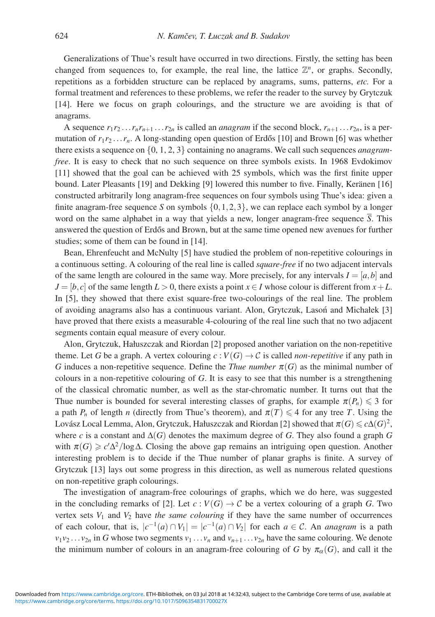Generalizations of Thue's result have occurred in two directions. Firstly, the setting has been changed from sequences to, for example, the real line, the lattice  $\mathbb{Z}^n$ , or graphs. Secondly, repetitions as a forbidden structure can be replaced by anagrams, sums, patterns, *etc.* For a formal treatment and references to these problems, we refer the reader to the survey by Grytczuk [14]. Here we focus on graph colourings, and the structure we are avoiding is that of anagrams.

A sequence  $r_1r_2 \ldots r_nr_{n+1} \ldots r_{2n}$  is called an *anagram* if the second block,  $r_{n+1} \ldots r_{2n}$ , is a permutation of  $r_1r_2 \ldots r_n$ . A long-standing open question of Erdős [10] and Brown [6] was whether there exists a sequence on {0, 1, 2, 3} containing no anagrams. We call such sequences *anagramfree*. It is easy to check that no such sequence on three symbols exists. In 1968 Evdokimov [11] showed that the goal can be achieved with 25 symbols, which was the first finite upper bound. Later Pleasants [19] and Dekking [9] lowered this number to five. Finally, Keränen [16] constructed arbitrarily long anagram-free sequences on four symbols using Thue's idea: given a finite anagram-free sequence *S* on symbols  $\{0, 1, 2, 3\}$ , we can replace each symbol by a longer word on the same alphabet in a way that yields a new, longer anagram-free sequence *S*. This answered the question of Erdős and Brown, but at the same time opened new avenues for further studies; some of them can be found in [14].

Bean, Ehrenfeucht and McNulty [5] have studied the problem of non-repetitive colourings in a continuous setting. A colouring of the real line is called *square-free* if no two adjacent intervals of the same length are coloured in the same way. More precisely, for any intervals  $I = [a, b]$  and  $J = [b, c]$  of the same length  $L > 0$ , there exists a point  $x \in I$  whose colour is different from  $x + L$ . In [5], they showed that there exist square-free two-colourings of the real line. The problem of avoiding anagrams also has a continuous variant. Alon, Grytczuk, Lason and Michałek [3] ´ have proved that there exists a measurable 4-colouring of the real line such that no two adjacent segments contain equal measure of every colour.

Alon, Grytczuk, Hałuszczak and Riordan [2] proposed another variation on the non-repetitive theme. Let *G* be a graph. A vertex colouring  $c : V(G) \to C$  is called *non-repetitive* if any path in *G* induces a non-repetitive sequence. Define the *Thue number*  $\pi(G)$  as the minimal number of colours in a non-repetitive colouring of *G*. It is easy to see that this number is a strengthening of the classical chromatic number, as well as the star-chromatic number. It turns out that the Thue number is bounded for several interesting classes of graphs, for example  $\pi(P_n) \leq 3$  for a path  $P_n$  of length *n* (directly from Thue's theorem), and  $\pi(T) \leq 4$  for any tree *T*. Using the Lovász Local Lemma, Alon, Grytczuk, Hałuszczak and Riordan [2] showed that  $\pi(G)$   $\leqslant$   $c\Delta(G)^2,$ where *c* is a constant and  $\Delta(G)$  denotes the maximum degree of *G*. They also found a graph *G* with  $\pi(G) \geq c' \Delta^2 / \log \Delta$ . Closing the above gap remains an intriguing open question. Another interesting problem is to decide if the Thue number of planar graphs is finite. A survey of Grytczuk [13] lays out some progress in this direction, as well as numerous related questions on non-repetitive graph colourings.

The investigation of anagram-free colourings of graphs, which we do here, was suggested in the concluding remarks of [2]. Let  $c: V(G) \to C$  be a vertex colouring of a graph *G*. Two vertex sets  $V_1$  and  $V_2$  have *the same colouring* if they have the same number of occurrences of each colour, that is,  $|c^{-1}(a) \cap V_1| = |c^{-1}(a) \cap V_2|$  for each  $a \in \mathcal{C}$ . An *anagram* is a path  $v_1v_2 \ldots v_{2n}$  in *G* whose two segments  $v_1 \ldots v_n$  and  $v_{n+1} \ldots v_{2n}$  have the same colouring. We denote the minimum number of colours in an anagram-free colouring of *G* by  $\pi_{\alpha}(G)$ , and call it the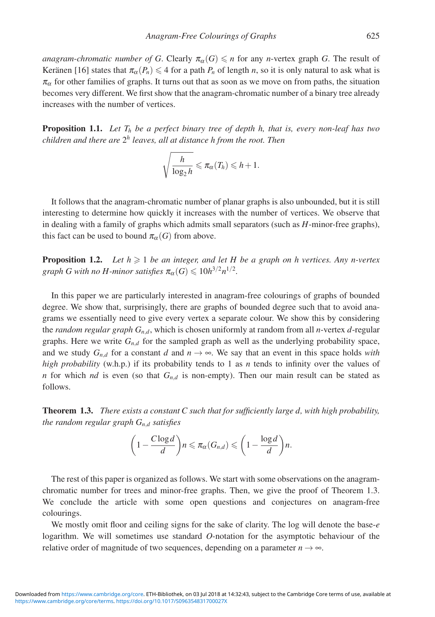*anagram-chromatic number of G*. Clearly  $\pi_\alpha(G) \leq n$  for any *n*-vertex graph *G*. The result of Keränen [16] states that  $\pi_{\alpha}(P_n) \leq 4$  for a path  $P_n$  of length *n*, so it is only natural to ask what is  $\pi_{\alpha}$  for other families of graphs. It turns out that as soon as we move on from paths, the situation becomes very different. We first show that the anagram-chromatic number of a binary tree already increases with the number of vertices.

**Proposition 1.1.** *Let*  $T_h$  *be a perfect binary tree of depth h, that is, every non-leaf has two children and there are* 2*<sup>h</sup> leaves, all at distance h from the root. Then*

$$
\sqrt{\frac{h}{\log_2 h}} \leqslant \pi_{\alpha}(T_h) \leqslant h+1.
$$

It follows that the anagram-chromatic number of planar graphs is also unbounded, but it is still interesting to determine how quickly it increases with the number of vertices. We observe that in dealing with a family of graphs which admits small separators (such as *H*-minor-free graphs), this fact can be used to bound  $\pi_{\alpha}(G)$  from above.

**Proposition 1.2.** Let  $h \geq 1$  be an integer, and let H be a graph on h vertices. Any n-vertex graph G with no H-minor satisfies  $\pi_{\alpha}(G) \leqslant 10h^{3/2}n^{1/2}$ .

In this paper we are particularly interested in anagram-free colourings of graphs of bounded degree. We show that, surprisingly, there are graphs of bounded degree such that to avoid anagrams we essentially need to give every vertex a separate colour. We show this by considering the *random regular graph Gn*,*<sup>d</sup>*, which is chosen uniformly at random from all *n*-vertex *d*-regular graphs. Here we write  $G_{n,d}$  for the sampled graph as well as the underlying probability space, and we study  $G_{n,d}$  for a constant *d* and  $n \to \infty$ . We say that an event in this space holds *with high probability* (w.h.p.) if its probability tends to 1 as *n* tends to infinity over the values of *n* for which *nd* is even (so that *Gn*,*<sup>d</sup>* is non-empty). Then our main result can be stated as follows.

**Theorem 1.3.** *There exists a constant C such that for sufficiently large d, with high probability, the random regular graph Gn*,*<sup>d</sup> satisfies*

$$
\left(1-\frac{C \log d}{d}\right) n \leqslant \pi_{\alpha}(G_{n,d}) \leqslant \left(1-\frac{\log d}{d}\right) n.
$$

The rest of this paper is organized as follows. We start with some observations on the anagramchromatic number for trees and minor-free graphs. Then, we give the proof of Theorem 1.3. We conclude the article with some open questions and conjectures on anagram-free colourings.

We mostly omit floor and ceiling signs for the sake of clarity. The log will denote the base-*e* logarithm. We will sometimes use standard *O*-notation for the asymptotic behaviour of the relative order of magnitude of two sequences, depending on a parameter  $n \rightarrow \infty$ .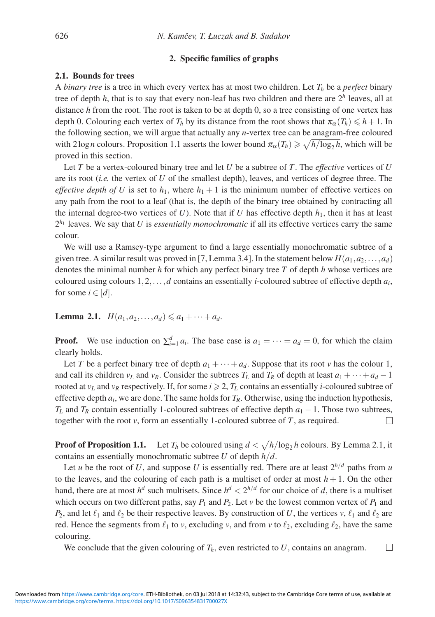## **2. Specific families of graphs**

## **2.1. Bounds for trees**

A *binary tree* is a tree in which every vertex has at most two children. Let *Th* be a *perfect* binary tree of depth  $h$ , that is to say that every non-leaf has two children and there are  $2<sup>h</sup>$  leaves, all at distance *h* from the root. The root is taken to be at depth 0, so a tree consisting of one vertex has depth 0. Colouring each vertex of  $T_h$  by its distance from the root shows that  $\pi_\alpha(T_h) \leq h + 1$ . In the following section, we will argue that actually any *n*-vertex tree can be anagram-free coloured with 2log *n* colours. Proposition 1.1 asserts the lower bound  $\pi_{\alpha}(T_h) \ge \sqrt{h/\log_2 h}$ , which will be proved in this section.

Let *T* be a vertex-coloured binary tree and let *U* be a subtree of *T*. The *effective* vertices of *U* are its root (*i.e.* the vertex of *U* of the smallest depth), leaves, and vertices of degree three. The *effective depth of U* is set to  $h_1$ , where  $h_1 + 1$  is the minimum number of effective vertices on any path from the root to a leaf (that is, the depth of the binary tree obtained by contracting all the internal degree-two vertices of  $U$ ). Note that if  $U$  has effective depth  $h_1$ , then it has at least  $2^{h_1}$  leaves. We say that *U* is *essentially monochromatic* if all its effective vertices carry the same colour.

We will use a Ramsey-type argument to find a large essentially monochromatic subtree of a given tree. A similar result was proved in [7, Lemma 3.4]. In the statement below  $H(a_1, a_2, \ldots, a_d)$ denotes the minimal number *h* for which any perfect binary tree *T* of depth *h* whose vertices are coloured using colours 1,2,...,*d* contains an essentially *i*-coloured subtree of effective depth *ai*, for some  $i \in [d]$ .

**Lemma 2.1.**  $H(a_1, a_2, \ldots, a_d) \leq a_1 + \cdots + a_d.$ 

**Proof.** We use induction on  $\sum_{i=1}^{d} a_i$ . The base case is  $a_1 = \cdots = a_d = 0$ , for which the claim clearly holds.

Let *T* be a perfect binary tree of depth  $a_1 + \cdots + a_d$ . Suppose that its root *v* has the colour 1, and call its children *v<sub>L</sub>* and *v<sub>R</sub>*. Consider the subtrees  $T_L$  and  $T_R$  of depth at least  $a_1 + \cdots + a_d - 1$ rooted at  $v_L$  and  $v_R$  respectively. If, for some  $i \geq 2$ ,  $T_L$  contains an essentially *i*-coloured subtree of effective depth  $a_i$ , we are done. The same holds for  $T_R$ . Otherwise, using the induction hypothesis,  $T_L$  and  $T_R$  contain essentially 1-coloured subtrees of effective depth  $a_1 - 1$ . Those two subtrees, together with the root *v*, form an essentially 1-coloured subtree of *T*, as required. П

**Proof of Proposition 1.1.** Let  $T_h$  be coloured using  $d < \sqrt{h/\log_2 h}$  colours. By Lemma 2.1, it contains an essentially monochromatic subtree *U* of depth *h*/*d*.

Let *u* be the root of *U*, and suppose *U* is essentially red. There are at least  $2^{h/d}$  paths from *u* to the leaves, and the colouring of each path is a multiset of order at most  $h + 1$ . On the other hand, there are at most  $h^d$  such multisets. Since  $h^d < 2^{h/d}$  for our choice of *d*, there is a multiset which occurs on two different paths, say  $P_1$  and  $P_2$ . Let  $\nu$  be the lowest common vertex of  $P_1$  and  $P_2$ , and let  $\ell_1$  and  $\ell_2$  be their respective leaves. By construction of *U*, the vertices *v*,  $\ell_1$  and  $\ell_2$  are red. Hence the segments from  $\ell_1$  to *v*, excluding *v*, and from *v* to  $\ell_2$ , excluding  $\ell_2$ , have the same colouring.

We conclude that the given colouring of  $T_h$ , even restricted to  $U$ , contains an anagram.

 $\Box$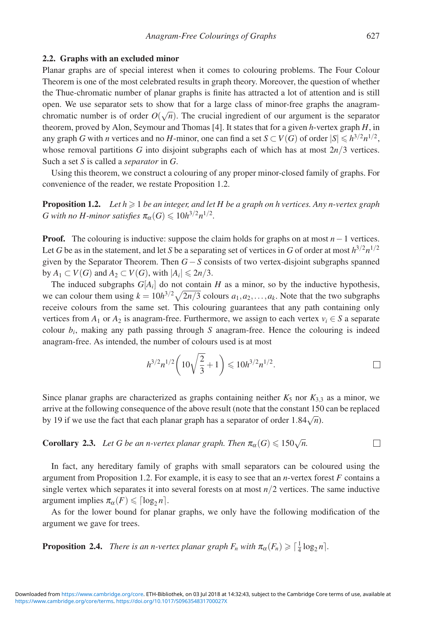#### **2.2. Graphs with an excluded minor**

Planar graphs are of special interest when it comes to colouring problems. The Four Colour Theorem is one of the most celebrated results in graph theory. Moreover, the question of whether the Thue-chromatic number of planar graphs is finite has attracted a lot of attention and is still open. We use separator sets to show that for a large class of minor-free graphs the anagramchromatic number is of order  $O(\sqrt{n})$ . The crucial ingredient of our argument is the separator theorem, proved by Alon, Seymour and Thomas [4]. It states that for a given *h*-vertex graph *H*, in any graph *G* with *n* vertices and no *H*-minor, one can find a set  $S \subset V(G)$  of order  $|S| \leq h^{3/2}n^{1/2}$ , whose removal partitions *G* into disjoint subgraphs each of which has at most 2*n*/3 vertices. Such a set *S* is called a *separator* in *G*.

Using this theorem, we construct a colouring of any proper minor-closed family of graphs. For convenience of the reader, we restate Proposition 1.2.

**Proposition 1.2.** *Let*  $h \geq 1$  *be an integer, and let H be a graph on h vertices. Any n-vertex graph G* with no *H*-minor satisfies  $\pi_{\alpha}(G) \leq 10h^{3/2}n^{1/2}$ .

**Proof.** The colouring is inductive: suppose the claim holds for graphs on at most *n*−1 vertices. Let *G* be as in the statement, and let *S* be a separating set of vertices in *G* of order at most  $h^{3/2}n^{1/2}$ given by the Separator Theorem. Then *G*−*S* consists of two vertex-disjoint subgraphs spanned by  $A_1 \subset V(G)$  and  $A_2 \subset V(G)$ , with  $|A_i| \leq 2n/3$ .

The induced subgraphs  $G[A_i]$  do not contain *H* as a minor, so by the inductive hypothesis, we can colour them using  $k = 10h^{3/2}\sqrt{2n/3}$  colours  $a_1, a_2, \dots, a_k$ . Note that the two subgraphs receive colours from the same set. This colouring guarantees that any path containing only vertices from  $A_1$  or  $A_2$  is anagram-free. Furthermore, we assign to each vertex  $v_i \in S$  a separate colour  $b_i$ , making any path passing through *S* anagram-free. Hence the colouring is indeed anagram-free. As intended, the number of colours used is at most

$$
h^{3/2}n^{1/2}\left(10\sqrt{\frac{2}{3}}+1\right) \leqslant 10h^{3/2}n^{1/2}.
$$

Since planar graphs are characterized as graphs containing neither  $K_5$  nor  $K_{3,3}$  as a minor, we arrive at the following consequence of the above result (note that the constant 150 can be replaced by 19 if we use the fact that each planar graph has a separator of order  $1.84\sqrt{n}$ .

#### **Corollary 2.3.** *Let G be an n-vertex planar graph. Then*  $\pi_{\alpha}(G) \leq 150\sqrt{n}$ .  $\Box$

In fact, any hereditary family of graphs with small separators can be coloured using the argument from Proposition 1.2. For example, it is easy to see that an *n*-vertex forest *F* contains a single vertex which separates it into several forests on at most *n*/2 vertices. The same inductive argument implies  $\pi_{\alpha}(F) \leq \lceil \log_2 n \rceil$ .

As for the lower bound for planar graphs, we only have the following modification of the argument we gave for trees.

**Proposition 2.4.** *There is an n-vertex planar graph*  $F_n$  *with*  $\pi_\alpha(F_n) \geq \lceil \frac{1}{4} \log_2 n \rceil$ *.*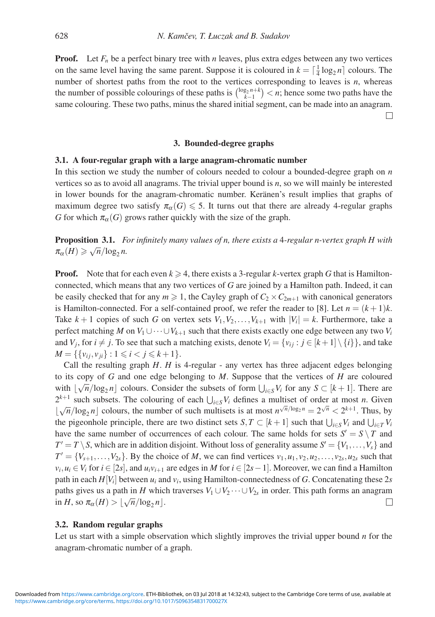**Proof.** Let  $F_n$  be a perfect binary tree with *n* leaves, plus extra edges between any two vertices on the same level having the same parent. Suppose it is coloured in  $k = \lceil \frac{1}{4} \log_2 n \rceil$  colours. The number of shortest paths from the root to the vertices corresponding to leaves is *n*, whereas the number of possible colourings of these paths is  $\binom{\log_2 n+k}{k-1} < n$ ; hence some two paths have the same colouring. These two paths, minus the shared initial segment, can be made into an anagram.

 $\Box$ 

## **3. Bounded-degree graphs**

### **3.1. A four-regular graph with a large anagram-chromatic number**

In this section we study the number of colours needed to colour a bounded-degree graph on *n* vertices so as to avoid all anagrams. The trivial upper bound is *n*, so we will mainly be interested in lower bounds for the anagram-chromatic number. Keränen's result implies that graphs of maximum degree two satisfy  $\pi_{\alpha}(G) \leq 5$ . It turns out that there are already 4-regular graphs *G* for which  $\pi_{\alpha}(G)$  grows rather quickly with the size of the graph.

**Proposition 3.1.** *For infinitely many values of n, there exists a* 4*-regular n-vertex graph H with*  $\pi_{\alpha}(H) \geqslant \sqrt{n}/\log_2 n$ .

**Proof.** Note that for each even  $k \ge 4$ , there exists a 3-regular *k*-vertex graph *G* that is Hamiltonconnected, which means that any two vertices of *G* are joined by a Hamilton path. Indeed, it can be easily checked that for any  $m \ge 1$ , the Cayley graph of  $C_2 \times C_{2m+1}$  with canonical generators is Hamilton-connected. For a self-contained proof, we refer the reader to [8]. Let  $n = (k+1)k$ . Take  $k + 1$  copies of such *G* on vertex sets  $V_1, V_2, \ldots, V_{k+1}$  with  $|V_i| = k$ . Furthermore, take a perfect matching *M* on  $V_1 \cup \cdots \cup V_{k+1}$  such that there exists exactly one edge between any two  $V_i$ and  $V_j$ , for  $i \neq j$ . To see that such a matching exists, denote  $V_i = \{v_{ij} : j \in [k+1] \setminus \{i\} \}$ , and take  $M = \{\{v_{ij}, v_{ji}\} : 1 \le i < j \le k+1\}.$ 

Call the resulting graph *H*. *H* is 4-regular - any vertex has three adjacent edges belonging to its copy of *G* and one edge belonging to *M*. Suppose that the vertices of *H* are coloured with  $\lfloor \sqrt{n}/\log_2 n \rfloor$  colours. Consider the subsets of form  $\bigcup_{i \in S} V_i$  for any  $S \subset [k+1]$ . There are  $2^{k+1}$  such subsets. The colouring of each  $\bigcup_{i \in S} V_i$  defines a multiset of order at most *n*. Given  $\lfloor \sqrt{n}/\log_2 n \rfloor$  colours, the number of such multisets is at most  $n^{\sqrt{n}/\log_2 n} = 2^{\sqrt{n}} < 2^{k+1}$ . Thus, by the pigeonhole principle, there are two distinct sets  $S, T \subset [k+1]$  such that  $\bigcup_{i \in S} V_i$  and  $\bigcup_{i \in T} V_i$ have the same number of occurrences of each colour. The same holds for sets  $S' = S \setminus T$  and  $T' = T \setminus S$ , which are in addition disjoint. Without loss of generality assume  $S' = \{V_1, \ldots, V_s\}$  and  $T' = \{V_{s+1}, \ldots, V_{2s}\}$ . By the choice of *M*, we can find vertices  $v_1, u_1, v_2, u_2, \ldots, v_{2s}, u_{2s}$  such that  $v_i, u_i \in V_i$  for  $i \in [2s]$ , and  $u_i v_{i+1}$  are edges in *M* for  $i \in [2s-1]$ . Moreover, we can find a Hamilton path in each  $H[V_i]$  between  $u_i$  and  $v_i$ , using Hamilton-connectedness of *G*. Concatenating these 2*s* paths gives us a path in *H* which traverses  $V_1 \cup V_2 \cdots \cup V_{2s}$  in order. This path forms an anagram  $\lim_{\alpha \to 0} H$ , so  $\pi_{\alpha}(H) > \lfloor \sqrt{n}/\log_2 n \rfloor$ .  $\Box$ 

#### **3.2. Random regular graphs**

Let us start with a simple observation which slightly improves the trivial upper bound *n* for the anagram-chromatic number of a graph.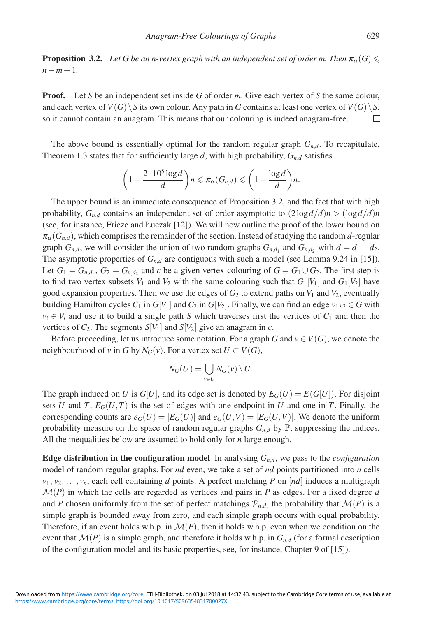**Proposition 3.2.**  $\,$  *Let G be an n-vertex graph with an independent set of order m. Then*  $\pi_{\alpha}(G)$  $\leqslant$ *n*−*m*+1*.*

**Proof.** Let *S* be an independent set inside *G* of order *m*. Give each vertex of *S* the same colour, and each vertex of  $V(G) \setminus S$  its own colour. Any path in *G* contains at least one vertex of  $V(G) \setminus S$ , so it cannot contain an anagram. This means that our colouring is indeed anagram-free.  $\Box$ 

The above bound is essentially optimal for the random regular graph *Gn*,*<sup>d</sup>*. To recapitulate, Theorem 1.3 states that for sufficiently large *d*, with high probability,  $G_{n,d}$  satisfies

$$
\left(1-\frac{2\cdot 10^5\log d}{d}\right)n\leqslant \pi_{\alpha}(G_{n,d})\leqslant \left(1-\frac{\log d}{d}\right)n.
$$

The upper bound is an immediate consequence of Proposition 3.2, and the fact that with high probability,  $G_{n,d}$  contains an independent set of order asymptotic to  $(2\log d/d)n > (\log d/d)n$ (see, for instance, Frieze and Łuczak [12]). We will now outline the proof of the lower bound on  $\pi_{\alpha}(G_{n,d})$ , which comprises the remainder of the section. Instead of studying the random *d*-regular graph  $G_{n,d}$ , we will consider the union of two random graphs  $G_{n,d}$  and  $G_{n,d}$ , with  $d = d_1 + d_2$ . The asymptotic properties of  $G_{n,d}$  are contiguous with such a model (see Lemma 9.24 in [15]). Let  $G_1 = G_{n,d_1}$ ,  $G_2 = G_{n,d_2}$  and *c* be a given vertex-colouring of  $G = G_1 \cup G_2$ . The first step is to find two vertex subsets  $V_1$  and  $V_2$  with the same colouring such that  $G_1[V_1]$  and  $G_1[V_2]$  have good expansion properties. Then we use the edges of  $G_2$  to extend paths on  $V_1$  and  $V_2$ , eventually building Hamilton cycles  $C_1$  in  $G[V_1]$  and  $C_2$  in  $G[V_2]$ . Finally, we can find an edge  $v_1v_2 \in G$  with  $v_i \in V_i$  and use it to build a single path *S* which traverses first the vertices of  $C_1$  and then the vertices of  $C_2$ . The segments  $S[V_1]$  and  $S[V_2]$  give an anagram in *c*.

Before proceeding, let us introduce some notation. For a graph *G* and  $v \in V(G)$ , we denote the neighbourhood of *v* in *G* by  $N_G(v)$ . For a vertex set  $U \subset V(G)$ ,

$$
N_G(U)=\bigcup_{v\in U}N_G(v)\setminus U.
$$

The graph induced on *U* is  $G[U]$ , and its edge set is denoted by  $E_G(U) = E(G[U])$ . For disjoint sets *U* and *T*,  $E_G(U, T)$  is the set of edges with one endpoint in *U* and one in *T*. Finally, the corresponding counts are  $e_G(U) = |E_G(U)|$  and  $e_G(U,V) = |E_G(U,V)|$ . We denote the uniform probability measure on the space of random regular graphs  $G_{n,d}$  by  $\mathbb{P}$ , suppressing the indices. All the inequalities below are assumed to hold only for *n* large enough.

**Edge distribution in the configuration model** In analysing  $G_{n,d}$ , we pass to the *configuration* model of random regular graphs. For *nd* even, we take a set of *nd* points partitioned into *n* cells  $v_1, v_2, \ldots, v_n$ , each cell containing *d* points. A perfect matching *P* on [*nd*] induces a multigraph  $\mathcal{M}(P)$  in which the cells are regarded as vertices and pairs in P as edges. For a fixed degree d and *P* chosen uniformly from the set of perfect matchings  $\mathcal{P}_{n,d}$ , the probability that  $\mathcal{M}(P)$  is a simple graph is bounded away from zero, and each simple graph occurs with equal probability. Therefore, if an event holds w.h.p. in  $\mathcal{M}(P)$ , then it holds w.h.p. even when we condition on the event that  $\mathcal{M}(P)$  is a simple graph, and therefore it holds w.h.p. in  $G_{n,d}$  (for a formal description of the configuration model and its basic properties, see, for instance, Chapter 9 of [15]).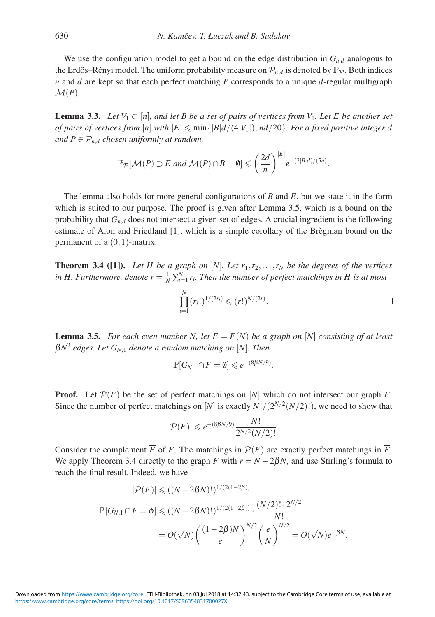We use the configuration model to get a bound on the edge distribution in  $G_{n,d}$  analogous to the Erdős–Rényi model. The uniform probability measure on  $\mathcal{P}_{n,d}$  is denoted by  $\mathbb{P}_{\mathcal{P}}$ . Both indices *n* and *d* are kept so that each perfect matching *P* corresponds to a unique *d*-regular multigraph  $\mathcal{M}(P)$ .

**Lemma 3.3.** *Let*  $V_1 \subset [n]$ *, and let* B be a set of pairs of vertices from  $V_1$ *. Let* E be another set *of pairs of vertices from*  $[n]$  *with*  $|E| \leqslant \min\{|B|d/(4|V_1|), nd/20\}$ *. For a fixed positive integer d and*  $P \in \mathcal{P}_{n,d}$  *chosen uniformly at random,* 

$$
\mathbb{P}_{\mathcal{P}}[\mathcal{M}(P) \supset E \text{ and } \mathcal{M}(P) \cap B = \emptyset] \leqslant \left(\frac{2d}{n}\right)^{|E|} e^{-(2|B|d)/(5n)}.
$$

The lemma also holds for more general configurations of *B* and *E*, but we state it in the form which is suited to our purpose. The proof is given after Lemma 3.5, which is a bound on the probability that *Gn*,*<sup>d</sup>* does not intersect a given set of edges. A crucial ingredient is the following estimate of Alon and Friedland [1], which is a simple corollary of the Brègman bound on the permanent of a  $(0,1)$ -matrix.

**Theorem 3.4 ([1]).** Let H be a graph on [N]. Let  $r_1, r_2, \ldots, r_N$  be the degrees of the vertices in H. Furthermore, denote  $r = \frac{1}{N} \sum_{i=1}^{N} r_i$ . Then the number of perfect matchings in H is at most

$$
\prod_{i=1}^N (r_i!)^{1/(2r_i)} \leqslant (r!)^{N/(2r)}.
$$

**Lemma 3.5.** For each even number N, let  $F = F(N)$  be a graph on [N] consisting of at least  $βN<sup>2</sup>$  *edges. Let*  $G<sub>N,1</sub>$  *denote a random matching on* [*N*]*. Then* 

$$
\mathbb{P}[G_{N,1} \cap F = \emptyset] \leqslant e^{-(8\beta N/9)}.
$$

**Proof.** Let  $\mathcal{P}(F)$  be the set of perfect matchings on  $[N]$  which do not intersect our graph F. Since the number of perfect matchings on [*N*] is exactly  $N!/(2^{N/2}(N/2)!)$ , we need to show that

$$
|\mathcal{P}(F)| \leq e^{-(8\beta N/9)} \frac{N!}{2^{N/2}(N/2)!}.
$$

Consider the complement  $\overline{F}$  of *F*. The matchings in  $\mathcal{P}(F)$  are exactly perfect matchings in  $\overline{F}$ . We apply Theorem 3.4 directly to the graph  $\overline{F}$  with  $r = N - 2\beta N$ , and use Stirling's formula to reach the final result. Indeed, we have

$$
|\mathcal{P}(F)| \le ((N - 2\beta N)!)^{1/(2(1-2\beta))}
$$
  

$$
\mathbb{P}[G_{N,1} \cap F = \phi] \le ((N - 2\beta N)!)^{1/(2(1-2\beta))} \cdot \frac{(N/2)! \cdot 2^{N/2}}{N!}
$$
  

$$
= O(\sqrt{N}) \left(\frac{(1-2\beta)N}{e}\right)^{N/2} \left(\frac{e}{N}\right)^{N/2} = O(\sqrt{N})e^{-\beta N}.
$$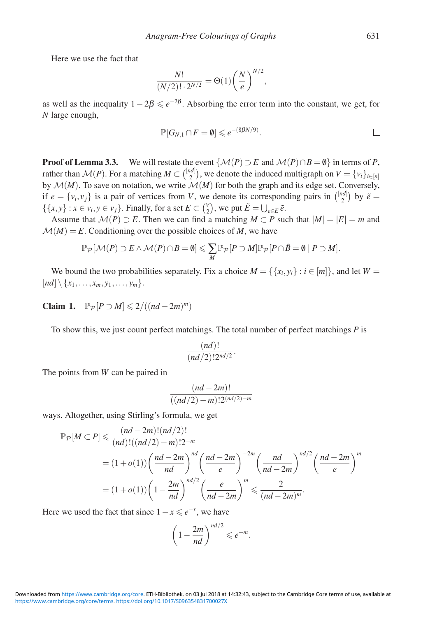Here we use the fact that

$$
\frac{N!}{(N/2)! \cdot 2^{N/2}} = \Theta(1) \left(\frac{N}{e}\right)^{N/2},
$$

as well as the inequality  $1 - 2\beta \le e^{-2\beta}$ . Absorbing the error term into the constant, we get, for *N* large enough,

$$
\mathbb{P}[G_{N,1} \cap F = \emptyset] \leqslant e^{-(8\beta N/9)}.
$$

**Proof of Lemma 3.3.** We will restate the event  $\{M(P) \supset E \text{ and } M(P) \cap B = \emptyset\}$  in terms of *P*, rather than  $\mathcal{M}(P)$ . For a matching  $M \subset \binom{[nd]}{2}$ , we denote the induced multigraph on  $V = \{v_i\}_{i \in [n]}$ by  $\mathcal{M}(M)$ . To save on notation, we write  $\mathcal{M}(M)$  for both the graph and its edge set. Conversely, if  $e = \{v_i, v_j\}$  is a pair of vertices from *V*, we denote its corresponding pairs in  $\binom{[nd]}{2}$  by  $\tilde{e}$  $\{\{x, y\} : x \in v_i, y \in v_j\}$ . Finally, for a set  $E \subset \binom{V}{2}$ , we put  $\tilde{E} = \bigcup_{e \in E} \tilde{e}$ .

Assume that  $\mathcal{M}(P) \supset E$ . Then we can find a matching  $M \subset P$  such that  $|M| = |E| = m$  and  $M(M) = E$ . Conditioning over the possible choices of M, we have

$$
\mathbb{P}_{\mathcal{P}}[\mathcal{M}(P) \supset E \wedge \mathcal{M}(P) \cap B = \emptyset] \leqslant \sum_{M} \mathbb{P}_{\mathcal{P}}[P \supset M] \mathbb{P}_{\mathcal{P}}[P \cap \tilde{B} = \emptyset \mid P \supset M].
$$

We bound the two probabilities separately. Fix a choice  $M = \{ \{x_i, y_i\} : i \in [m] \}$ , and let  $W =$  $[nd] \setminus \{x_1, \ldots, x_m, y_1, \ldots, y_m\}.$ 

**Claim 1.**  $\mathbb{P}_{\mathcal{P}}[P \supset M] \leq 2/((nd-2m)^m)$ 

To show this, we just count perfect matchings. The total number of perfect matchings *P* is

$$
\frac{(nd)!}{(nd/2)!2^{nd/2}}.
$$

The points from *W* can be paired in

$$
\frac{(nd-2m)!}{((nd/2)-m)!2^{(nd/2)-m}}
$$

ways. Altogether, using Stirling's formula, we get

$$
\mathbb{P}_{\mathcal{P}}[M \subset P] \leq \frac{(nd - 2m)!(nd/2)!}{(nd)!((nd/2) - m)!2^{-m}}
$$
  
=  $(1 + o(1)) \left(\frac{nd - 2m}{nd}\right)^{nd} \left(\frac{nd - 2m}{e}\right)^{-2m} \left(\frac{nd}{nd - 2m}\right)^{nd/2} \left(\frac{nd - 2m}{e}\right)^m$   
=  $(1 + o(1)) \left(1 - \frac{2m}{nd}\right)^{nd/2} \left(\frac{e}{nd - 2m}\right)^m \leq \frac{2}{(nd - 2m)^m}.$ 

Here we used the fact that since  $1 - x \le e^{-x}$ , we have

$$
\left(1-\frac{2m}{nd}\right)^{nd/2}\leqslant e^{-m}.
$$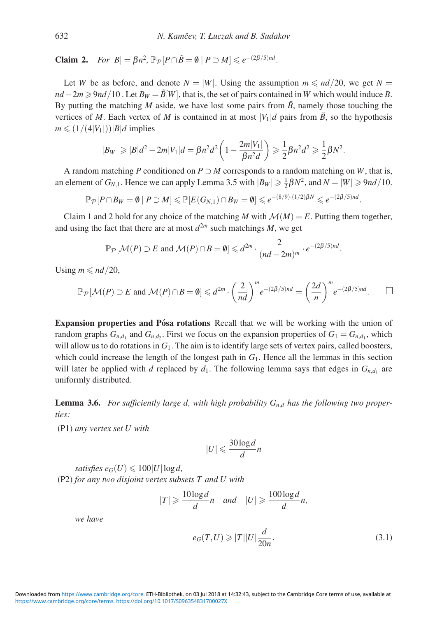**Claim 2.** *For*  $|B| = \beta n^2$ ,  $\mathbb{P}_{\mathcal{P}}[P \cap \tilde{B} = \emptyset | P \supset M] \leqslant e^{-(2\beta/5)nd}$ .

Let *W* be as before, and denote  $N = |W|$ . Using the assumption  $m \leq n/d/20$ , we get  $N =$  $nd - 2m \geqslant 9nd/10$ . Let  $B_W = \tilde{B}[W]$ , that is, the set of pairs contained in *W* which would induce *B*. By putting the matching *M* aside, we have lost some pairs from  $\tilde{B}$ , namely those touching the vertices of *M*. Each vertex of *M* is contained in at most  $|V_1|d$  pairs from  $\tilde{B}$ , so the hypothesis  $m \leq (1/(4|V_1|))|B|d$  implies

$$
|B_W| \geq |B|d^2 - 2m|V_1|d = \beta n^2 d^2 \left(1 - \frac{2m|V_1|}{\beta n^2 d}\right) \geq \frac{1}{2} \beta n^2 d^2 \geq \frac{1}{2} \beta N^2.
$$

A random matching *P* conditioned on  $P \supset M$  corresponds to a random matching on *W*, that is, an element of  $G_{N,1}$ . Hence we can apply Lemma 3.5 with  $|B_W| \geq \frac{1}{2}\beta N^2$ , and  $N = |W| \geq 9nd/10$ .

$$
\mathbb{P}_{\mathcal{P}}[P\cap B_W= \emptyset \mid P \supset M] \leq \mathbb{P}[E(G_{N,1})\cap B_W= \emptyset] \leqslant e^{-(8/9)\cdot(1/2)\beta N} \leqslant e^{-(2\beta/5)nd}.
$$

Claim 1 and 2 hold for any choice of the matching *M* with  $M(M) = E$ . Putting them together, and using the fact that there are at most  $d^{2m}$  such matchings *M*, we get

$$
\mathbb{P}_{\mathcal{P}}[\mathcal{M}(P) \supset E \text{ and } \mathcal{M}(P) \cap B = \emptyset] \leq d^{2m} \cdot \frac{2}{(nd-2m)^m} \cdot e^{-(2\beta/5)nd}.
$$

Using  $m \leqslant nd/20$ ,

$$
\mathbb{P}_{\mathcal{P}}[\mathcal{M}(P) \supset E \text{ and } \mathcal{M}(P) \cap B = \emptyset] \leq d^{2m} \cdot \left(\frac{2}{nd}\right)^m e^{-(2\beta/5)nd} = \left(\frac{2d}{n}\right)^m e^{-(2\beta/5)nd}.\quad \Box
$$

**Expansion properties and Pósa rotations** Recall that we will be working with the union of random graphs  $G_{n,d}$ , and  $G_{n,d}$ . First we focus on the expansion properties of  $G_1 = G_{n,d}$ , which will allow us to do rotations in  $G_1$ . The aim is to identify large sets of vertex pairs, called boosters, which could increase the length of the longest path in  $G_1$ . Hence all the lemmas in this section will later be applied with *d* replaced by  $d_1$ . The following lemma says that edges in  $G_{n,d_1}$  are uniformly distributed.

**Lemma 3.6.** For sufficiently large d, with high probability  $G_{n,d}$  has the following two proper*ties:*

(P1) *any vertex set U with*

$$
|U| \leqslant \frac{30\log d}{d}n
$$

 $satisfies e_G(U) \leqslant 100|U|\log d,$ (P2) *for any two disjoint vertex subsets T and U with*

$$
|T| \geqslant \frac{10\log d}{d}n \quad \text{and} \quad |U| \geqslant \frac{100\log d}{d}n,
$$

*we have*

$$
e_G(T, U) \ge |T||U|\frac{d}{20n}.\tag{3.1}
$$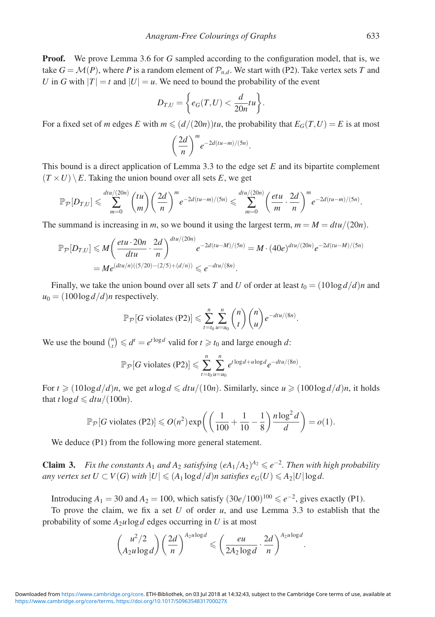**Proof.** We prove Lemma 3.6 for G sampled according to the configuration model, that is, we take  $G = \mathcal{M}(P)$ , where P is a random element of  $\mathcal{P}_{n,d}$ . We start with (P2). Take vertex sets T and *U* in *G* with  $|T| = t$  and  $|U| = u$ . We need to bound the probability of the event

$$
D_{T,U} = \bigg\{ e_G(T,U) < \frac{d}{20n} tu \bigg\}.
$$

For a fixed set of *m* edges *E* with  $m \leq (d/(20n))$ tu, the probability that  $E_G(T, U) = E$  is at most

$$
\left(\frac{2d}{n}\right)^me^{-2d(tu-m)/(5n)}.
$$

This bound is a direct application of Lemma 3.3 to the edge set *E* and its bipartite complement  $(T \times U) \setminus E$ . Taking the union bound over all sets *E*, we get

$$
\mathbb{P}_{\mathcal{P}}[D_{T,U}] \leqslant \sum_{m=0}^{dtu/(20n)} {tu \choose m} \left(\frac{2d}{n}\right)^m e^{-2d(tu-m)/(5n)} \leqslant \sum_{m=0}^{dtu/(20n)} \left(\frac{etu}{m} \cdot \frac{2d}{n}\right)^m e^{-2d(tu-m)/(5n)}.
$$

The summand is increasing in *m*, so we bound it using the largest term,  $m = M = dt u/(20n)$ .

$$
\mathbb{P}_{\mathcal{P}}[D_{T,U}] \leq M \left( \frac{etu \cdot 20n}{dtu} \cdot \frac{2d}{n} \right)^{dtu/(20n)} e^{-2d(tu-M)/(5n)} = M \cdot (40e)^{dtu/(20n)} e^{-2d(tu-M)/(5n)}
$$
  
= 
$$
Me^{(dtu/n)((5/20)-(2/5)+(d/n))} \leq e^{-dtu/(8n)}.
$$

Finally, we take the union bound over all sets *T* and *U* of order at least  $t_0 = (10 \log d/d)n$  and  $u_0 = (100 \log d/d)n$  respectively.

$$
\mathbb{P}_{\mathcal{P}}[G \text{ violates (P2)}] \leqslant \sum_{t=t_0}^{n} \sum_{u=u_0}^{n} {n \choose t} {n \choose u} e^{-\frac{du}{(8n)}}.
$$

We use the bound  $\binom{n}{t} \leq d^t = e^{t \log d}$  valid for  $t \geq t_0$  and large enough *d*:

$$
\mathbb{P}_{\mathcal{P}}[G \text{ violates (P2)}] \leq \sum_{t=t_0}^{n} \sum_{u=u_0}^{n} e^{t \log d + u \log d} e^{-\frac{dt u}{(8n)}}.
$$

For  $t \geq (10\log d/d)n$ , we get  $u \log d \leq dt u/(10n)$ . Similarly, since  $u \geq (100\log d/d)n$ , it holds that  $t \log d \leq d t u/(100n)$ .

$$
\mathbb{P}_{\mathcal{P}}[G \text{ violates (P2)}] \leqslant O(n^2) \exp\left(\left(\frac{1}{100} + \frac{1}{10} - \frac{1}{8}\right) \frac{n \log^2 d}{d}\right) = o(1).
$$

We deduce (P1) from the following more general statement.

**Claim 3.** *Fix the constants*  $A_1$  *and*  $A_2$  *satisfying*  $(eA_1/A_2)^{A_2} \le e^{-2}$ *. Then with high probability any vertex set*  $U\subset V(G)$  *with*  $|U|\leqslant (A_1\log d/d)n$  *satisfies*  $e_G(U)\leqslant A_2|U|\log d.$ 

Introducing  $A_1 = 30$  and  $A_2 = 100$ , which satisfy  $(30e/100)^{100} \le e^{-2}$ , gives exactly (P1).

To prove the claim, we fix a set *U* of order *u*, and use Lemma 3.3 to establish that the probability of some  $A_2u \log d$  edges occurring in *U* is at most

$$
\binom{u^2/2}{A_2u\log d}\left(\frac{2d}{n}\right)^{A_2u\log d} \leqslant \left(\frac{eu}{2A_2\log d}\cdot\frac{2d}{n}\right)^{A_2u\log d}.
$$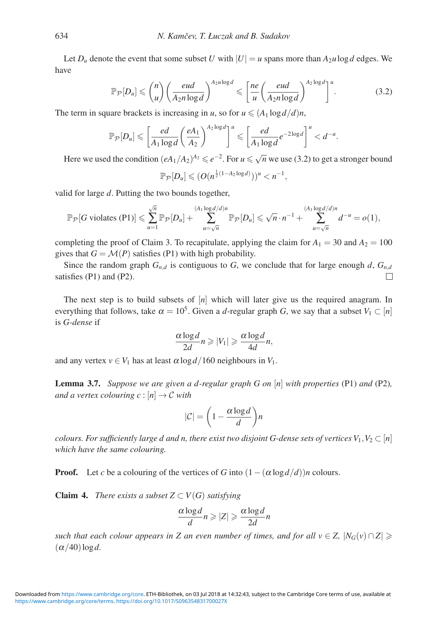Let  $D_u$  denote the event that some subset *U* with  $|U| = u$  spans more than  $A_2u \log d$  edges. We have

$$
\mathbb{P}_{\mathcal{P}}[D_u] \leqslant {n \choose u} \left(\frac{eud}{A_2 n \log d}\right)^{A_2 u \log d} \leqslant \left[\frac{ne}{u} \left(\frac{eud}{A_2 n \log d}\right)^{A_2 \log d}\right]^u. \tag{3.2}
$$

The term in square brackets is increasing in *u*, so for  $u \leq (A_1 \log d/d)n$ ,

$$
\mathbb{P}_{\mathcal{P}}[D_u] \leqslant \left[\frac{ed}{A_1\log d}\left(\frac{eA_1}{A_2}\right)^{A_2\log d}\right]^u \leqslant \left[\frac{ed}{A_1\log d}e^{-2\log d}\right]^u < d^{-u}.
$$

Here we used the condition  $(eA_1/A_2)^{A_2} \le e^{-2}$ . For  $u \le \sqrt{n}$  we use (3.2) to get a stronger bound

$$
\mathbb{P}_{\mathcal{P}}[D_u] \leqslant (O(n^{\frac{1}{2}(1-A_2\log d)}))^u < n^{-1},
$$

valid for large *d*. Putting the two bounds together,

$$
\mathbb{P}_{\mathcal{P}}[G \text{ violates (P1)}] \leqslant \sum_{u=1}^{\sqrt{n}} \mathbb{P}_{\mathcal{P}}[D_u] + \sum_{u=\sqrt{n}}^{(A_1 \log d/d)n} \mathbb{P}_{\mathcal{P}}[D_u] \leqslant \sqrt{n} \cdot n^{-1} + \sum_{u=\sqrt{n}}^{(A_1 \log d/d)n} d^{-u} = o(1),
$$

completing the proof of Claim 3. To recapitulate, applying the claim for  $A_1 = 30$  and  $A_2 = 100$ gives that  $G = \mathcal{M}(P)$  satisfies (P1) with high probability.

Since the random graph  $G_{n,d}$  is contiguous to *G*, we conclude that for large enough *d*,  $G_{n,d}$ satisfies (P1) and (P2). П

The next step is to build subsets of [*n*] which will later give us the required anagram. In everything that follows, take  $\alpha = 10^5$ . Given a *d*-regular graph *G*, we say that a subset  $V_1 \subset [n]$ is *G-dense* if

$$
\frac{\alpha \log d}{2d} n \geq |V_1| \geq \frac{\alpha \log d}{4d} n,
$$

and any vertex  $v \in V_1$  has at least  $\alpha \log d / 160$  neighbours in  $V_1$ .

**Lemma 3.7.** *Suppose we are given a d-regular graph G on* [*n*] *with properties* (P1) *and* (P2)*, and a vertex colouring c* :  $[n] \rightarrow C$  *with* 

$$
|\mathcal{C}| = \left(1 - \frac{\alpha \log d}{d}\right) n
$$

*colours. For sufficiently large d and n, there exist two disjoint G-dense sets of vertices*  $V_1, V_2 \subset [n]$ *which have the same colouring.*

**Proof.** Let *c* be a colouring of the vertices of *G* into  $(1 - (\alpha \log d/d))n$  colours.

**Claim 4.** *There exists a subset*  $Z \subset V(G)$  *satisfying* 

$$
\frac{\alpha \log d}{d} n \geqslant |Z| \geqslant \frac{\alpha \log d}{2d} n
$$

*such that each colour appears in Z* an even number of times, and for all  $v \in Z$ ,  $|N_G(v) \cap Z| \ge$  $(\alpha/40)$ log*d*.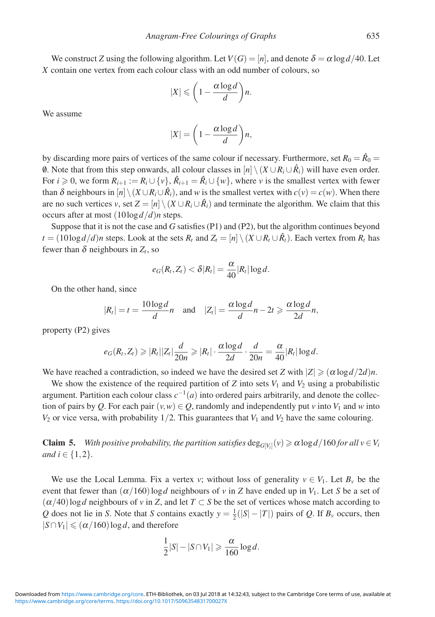We construct *Z* using the following algorithm. Let  $V(G) = [n]$ , and denote  $\delta = \alpha \log d/40$ . Let *X* contain one vertex from each colour class with an odd number of colours, so

$$
|X| \leqslant \bigg(1-\frac{\alpha \log d}{d}\bigg)n.
$$

We assume

$$
|X| = \left(1 - \frac{\alpha \log d}{d}\right) n,
$$

by discarding more pairs of vertices of the same colour if necessary. Furthermore, set  $R_0 = \hat{R}_0 =$ 0. Note that from this step onwards, all colour classes in  $[n] \setminus (X \cup R_i \cup \hat{R}_i)$  will have even order. For  $i \geq 0$ , we form  $R_{i+1} := R_i \cup \{v\}$ ,  $\hat{R}_{i+1} = \hat{R}_i \cup \{w\}$ , where *v* is the smallest vertex with fewer than  $\delta$  neighbours in  $[n] \setminus (X \cup R_i \cup \hat{R}_i)$ , and *w* is the smallest vertex with  $c(v) = c(w)$ . When there are no such vertices *v*, set  $Z = [n] \setminus (X \cup R_i \cup \hat{R_i})$  and terminate the algorithm. We claim that this occurs after at most (10log*d*/*d*)*n* steps.

Suppose that it is not the case and *G* satisfies (P1) and (P2), but the algorithm continues beyond *t* = (10log *d*/*d*)*n* steps. Look at the sets  $R_t$  and  $Z_t = [n] \setminus (X \cup R_t \cup \hat{R}_t)$ . Each vertex from  $R_t$  has fewer than  $\delta$  neighbours in  $Z_t$ , so

$$
e_G(R_t, Z_t) < \delta |R_t| = \frac{\alpha}{40} |R_t| \log d.
$$

On the other hand, since

$$
|R_t| = t = \frac{10\log d}{d}n \quad \text{and} \quad |Z_t| = \frac{\alpha \log d}{d}n - 2t \geqslant \frac{\alpha \log d}{2d}n,
$$

property (P2) gives

$$
e_G(R_t, Z_t) \geqslant |R_t||Z_t|\frac{d}{20n} \geqslant |R_t|\cdot \frac{\alpha \log d}{2d} \cdot \frac{d}{20n} = \frac{\alpha}{40}|R_t| \log d.
$$

We have reached a contradiction, so indeed we have the desired set *Z* with  $|Z| \geq (\alpha \log d/2d)n$ .

We show the existence of the required partition of  $Z$  into sets  $V_1$  and  $V_2$  using a probabilistic argument. Partition each colour class  $c^{-1}(a)$  into ordered pairs arbitrarily, and denote the collection of pairs by *Q*. For each pair  $(v, w) \in Q$ , randomly and independently put *v* into  $V_1$  and *w* into  $V_2$  or vice versa, with probability  $1/2$ . This guarantees that  $V_1$  and  $V_2$  have the same colouring.

**Claim 5.** *With positive probability, the partition satisfies*  $\deg_{G[V_i]}(v) \ge \alpha \log d/160$  *for all*  $v \in V_i$ *and*  $i \in \{1, 2\}$ *.* 

We use the Local Lemma. Fix a vertex *v*; without loss of generality  $v \in V_1$ . Let  $B_v$  be the event that fewer than  $(\alpha/160) \log d$  neighbours of *v* in *Z* have ended up in *V*<sub>1</sub>. Let *S* be a set of  $(\alpha/40)$ log*d* neighbours of *v* in *Z*, and let *T* ⊂ *S* be the set of vertices whose match according to *Q* does not lie in *S*. Note that *S* contains exactly  $y = \frac{1}{2}(|S| - |T|)$  pairs of *Q*. If *B<sub>v</sub>* occurs, then  $|S \cap V_1| \leqslant (\alpha/160) \log d$ , and therefore

$$
\frac{1}{2}|S|-|S\cap V_1|\geqslant \frac{\alpha}{160}\log d.
$$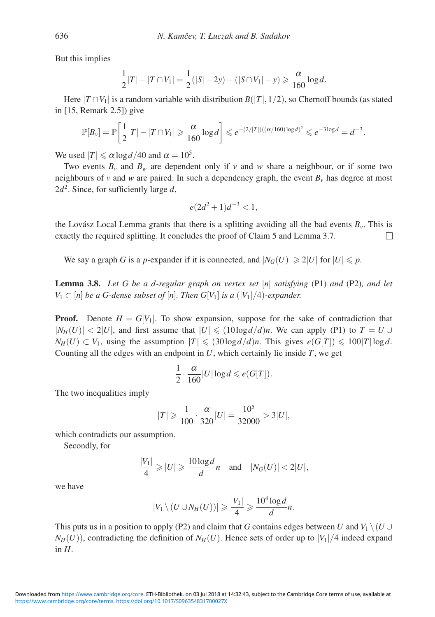But this implies

$$
\frac{1}{2}|T| - |T \cap V_1| = \frac{1}{2}(|S| - 2y) - (|S \cap V_1| - y) \geq \frac{\alpha}{160} \log d.
$$

Here  $|T \cap V_1|$  is a random variable with distribution  $B(|T|, 1/2)$ , so Chernoff bounds (as stated in [15, Remark 2.5]) give

$$
\mathbb{P}[B_{\nu}] = \mathbb{P}\bigg[\frac{1}{2}|T| - |T \cap V_1| \geq \frac{\alpha}{160} \log d\bigg] \leq e^{-(2/|T|)((\alpha/160)\log d)^2} \leq e^{-3\log d} = d^{-3}.
$$

We used  $|T| \le \alpha \log d / 40$  and  $\alpha = 10^5$ .

Two events  $B_v$  and  $B_w$  are dependent only if v and w share a neighbour, or if some two neighbours of *v* and *w* are paired. In such a dependency graph, the event  $B_v$  has degree at most  $2d^2$ . Since, for sufficiently large d,

$$
e(2d^2+1)d^{-3} < 1,
$$

the Lovász Local Lemma grants that there is a splitting avoiding all the bad events  $B<sub>v</sub>$ . This is exactly the required splitting. It concludes the proof of Claim 5 and Lemma 3.7.  $\Box$ 

We say a graph *G* is a *p*-expander if it is connected, and  $|N_G(U)| \ge 2|U|$  for  $|U| \le p$ .

**Lemma 3.8.** *Let G be a d-regular graph on vertex set* [*n*] *satisfying* (P1) *and* (P2)*, and let V*<sub>1</sub> ⊂ [*n*] *be a G-dense subset of* [*n*]*. Then G*[*V*<sub>1</sub>] *is a* (|*V*<sub>1</sub>|/4)*-expander.* 

**Proof.** Denote  $H = G[V_1]$ . To show expansion, suppose for the sake of contradiction that  $|N_H(U)| < 2|U|$ , and first assume that  $|U| \leq (10\log d/d)n$ . We can apply (P1) to  $T = U \cup$  $N_H(U) \subset V_1$ , using the assumption  $|T| \leqslant (30\log d/d)n$ . This gives  $e(G[T]) \leqslant 100|T|\log d$ . Counting all the edges with an endpoint in *U*, which certainly lie inside *T*, we get

$$
\frac{1}{2} \cdot \frac{\alpha}{160} |U| \log d \leqslant e(G[T]).
$$

The two inequalities imply

$$
|T| \geqslant \frac{1}{100} \cdot \frac{\alpha}{320} |U| = \frac{10^5}{32000} > 3|U|,
$$

which contradicts our assumption.

Secondly, for

$$
\frac{|V_1|}{4} \geqslant |U| \geqslant \frac{10\log d}{d}n \quad \text{and} \quad |N_G(U)| < 2|U|,
$$

we have

$$
|V_1 \setminus (U \cup N_H(U))| \geqslant \frac{|V_1|}{4} \geqslant \frac{10^4 \log d}{d} n.
$$

This puts us in a position to apply (P2) and claim that *G* contains edges between *U* and  $V_1 \setminus (U \cup$  $N_H(U)$ , contradicting the definition of  $N_H(U)$ . Hence sets of order up to  $|V_1|/4$  indeed expand in *H*.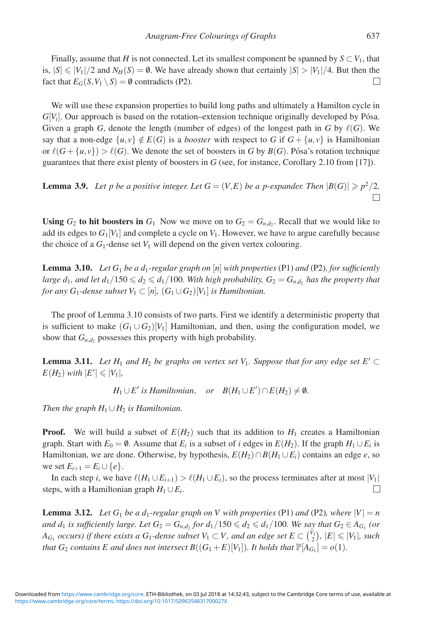Finally, assume that *H* is not connected. Let its smallest component be spanned by  $S \subset V_1$ , that is,  $|S| \le |V_1|/2$  and  $N_H(S) = \emptyset$ . We have already shown that certainly  $|S| > |V_1|/4$ . But then the fact that  $E_G(S, V_1 \setminus S) = \emptyset$  contradicts (P2). П

We will use these expansion properties to build long paths and ultimately a Hamilton cycle in  $G[V_i]$ . Our approach is based on the rotation–extension technique originally developed by Pósa. Given a graph *G*, denote the length (number of edges) of the longest path in *G* by  $\ell(G)$ . We say that a non-edge  $\{u, v\} \notin E(G)$  is a *booster* with respect to G if  $G + \{u, v\}$  is Hamiltonian or  $\ell(G + \{u, v\}) > \ell(G)$ . We denote the set of boosters in *G* by *B*(*G*). Pósa's rotation technique guarantees that there exist plenty of boosters in *G* (see, for instance, Corollary 2.10 from [17]).

**Lemma 3.9.** Let p be a positive integer. Let  $G = (V, E)$  be a p-expander. Then  $|B(G)| \geq p^2/2$ .  $\Box$ 

**Using**  $G_2$  to hit boosters in  $G_1$  Now we move on to  $G_2 = G_{n,d}$ . Recall that we would like to add its edges to  $G_1[V_1]$  and complete a cycle on  $V_1$ . However, we have to argue carefully because the choice of a  $G_1$ -dense set  $V_1$  will depend on the given vertex colouring.

**Lemma 3.10.** *Let G*<sup>1</sup> *be a d*1*-regular graph on* [*n*] *with properties* (P1) *and* (P2)*, for sufficiently*  $l$ arge  $d_1$ , and let  $d_1/150 \leqslant d_2 \leqslant d_1/100$ . With high probability,  $G_2 = G_{n,d_2}$  has the property that *for any*  $G_1$ -dense subset  $V_1 \subset [n]$ ,  $(G_1 \cup G_2)[V_1]$  *is Hamiltonian.* 

The proof of Lemma 3.10 consists of two parts. First we identify a deterministic property that is sufficient to make  $(G_1 \cup G_2)[V_1]$  Hamiltonian, and then, using the configuration model, we show that  $G_{n,d}$  possesses this property with high probability.

**Lemma 3.11.** Let  $H_1$  and  $H_2$  be graphs on vertex set  $V_1$ . Suppose that for any edge set  $E' \subset$  $E(H_2)$  *with*  $|E'| \leq |V_1|$ *,* 

 $H_1 \cup E'$  *is Hamiltonian*, *or*  $B(H_1 \cup E') \cap E(H_2) \neq \emptyset$ .

*Then the graph*  $H_1 \cup H_2$  *is Hamiltonian.* 

**Proof.** We will build a subset of  $E(H_2)$  such that its addition to  $H_1$  creates a Hamiltonian graph. Start with  $E_0 = \emptyset$ . Assume that  $E_i$  is a subset of *i* edges in  $E(H_2)$ . If the graph  $H_1 \cup E_i$  is Hamiltonian, we are done. Otherwise, by hypothesis,  $E(H_2) \cap B(H_1 \cup E_i)$  contains an edge *e*, so we set  $E_{i+1} = E_i ∪ {e}.$ 

In each step *i*, we have  $\ell(H_1 \cup E_{i+1}) > \ell(H_1 \cup E_i)$ , so the process terminates after at most  $|V_1|$ steps, with a Hamiltonian graph  $H_1 \cup E_i$ .  $\Box$ 

**Lemma 3.12.** *Let*  $G_1$  *be a d*<sub>1</sub>*-regular graph on V with properties* (P1) *and* (P2)*, where*  $|V| = n$ *and d*<sub>1</sub> *is sufficiently large. Let*  $G_2 = G_{n,d_2}$  *for*  $d_1/150 \leqslant d_2 \leqslant d_1/100$ *. We say that*  $G_2 \in A_{G_1}$  *(or*  $A_{G_1}$  *occurs*) if there exists a  $G_1$ -dense subset  $V_1 \subset V$ , and an edge set  $E \subset {V_1 \choose 2}$ ,  $|E| \leqslant |V_1|$ , such *that*  $G_2$  *contains*  $E$  *and does not intersect*  $B((G_1 + E)[V_1])$ *. It holds that*  $\mathbb{P}[A_{G_1}] = o(1)$ *.*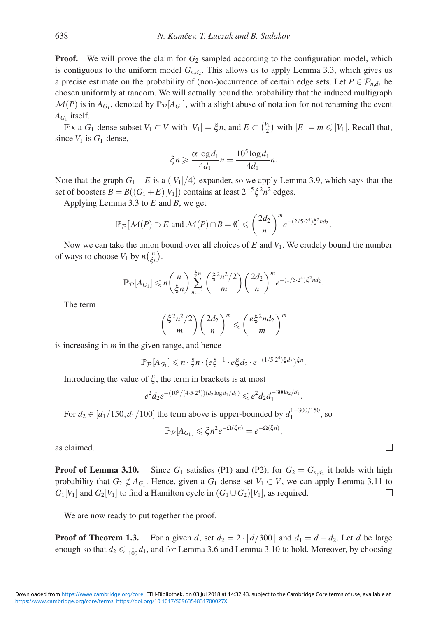**Proof.** We will prove the claim for  $G_2$  sampled according to the configuration model, which is contiguous to the uniform model  $G_{n,d}$ . This allows us to apply Lemma 3.3, which gives us a precise estimate on the probability of (non-)occurrence of certain edge sets. Let  $P \in \mathcal{P}_{n,d}$ , be chosen uniformly at random. We will actually bound the probability that the induced multigraph  $\mathcal{M}(P)$  is in  $A_{G_1}$ , denoted by  $\mathbb{P}_P[A_{G_1}]$ , with a slight abuse of notation for not renaming the event  $A_{G_1}$  itself.

Fix a  $G_1$ -dense subset  $V_1 \subset V$  with  $|V_1| = \xi n$ , and  $E \subset {V_1 \choose 2}$  with  $|E| = m \leq |V_1|$ . Recall that, since  $V_1$  is  $G_1$ -dense,

$$
\xi n \geqslant \frac{\alpha \log d_1}{4d_1} n = \frac{10^5 \log d_1}{4d_1} n.
$$

Note that the graph  $G_1 + E$  is a ( $|V_1|/4$ )-expander, so we apply Lemma 3.9, which says that the set of boosters  $B = B((G_1 + E)[V_1])$  contains at least  $2^{-5}\xi^2 n^2$  edges.

Applying Lemma 3.3 to *E* and *B*, we get

$$
\mathbb{P}_{\mathcal{P}}[\mathcal{M}(P) \supset E \text{ and } \mathcal{M}(P) \cap B = \emptyset] \leqslant \left(\frac{2d_2}{n}\right)^m e^{-(2/5\cdot 2^5)\xi^2 nd_2}.
$$

Now we can take the union bound over all choices of *E* and *V*1. We crudely bound the number of ways to choose  $V_1$  by  $n\binom{n}{\xi n}$ .

$$
\mathbb{P}_{\mathcal{P}}[A_{G_1}] \leqslant n \binom{n}{\xi n} \sum_{m=1}^{\xi n} \binom{\xi^2 n^2/2}{m} \left(\frac{2d_2}{n}\right)^m e^{-(1/5 \cdot 2^4)\xi^2 n d_2}.
$$

The term

$$
\binom{\xi^2 n^2/2}{m} \left(\frac{2d_2}{n}\right)^m \leqslant \left(\frac{e\xi^2 n d_2}{m}\right)^m
$$

is increasing in *m* in the given range, and hence

$$
\mathbb{P}_{\mathcal{P}}[A_{G_1}] \leqslant n \cdot \xi n \cdot (e \xi^{-1} \cdot e \xi d_2 \cdot e^{-(1/5 \cdot 2^4) \xi d_2})^{\xi n}.
$$

Introducing the value of  $\xi$ , the term in brackets is at most

$$
e^2 d_2 e^{-(10^5/(4\cdot 5\cdot 2^4))(d_2 \log d_1/d_1)} \leqslant e^2 d_2 d_1^{-300 d_2/d_1}.
$$

For  $d_2 \in [d_1/150, d_1/100]$  the term above is upper-bounded by  $d_1^{1-300/150}$ , so

$$
\mathbb{P}_{\mathcal{P}}[A_{G_1}] \leqslant \xi n^2 e^{-\Omega(\xi n)} = e^{-\Omega(\xi n)},
$$

as claimed.

**Proof of Lemma 3.10.** Since  $G_1$  satisfies (P1) and (P2), for  $G_2 = G_{n,d_2}$  it holds with high probability that  $G_2 \notin A_{G_1}$ . Hence, given a  $G_1$ -dense set  $V_1 \subset V$ , we can apply Lemma 3.11 to  $G_1[V_1]$  and  $G_2[V_1]$  to find a Hamilton cycle in  $(G_1 \cup G_2)[V_1]$ , as required. П

We are now ready to put together the proof.

**Proof of Theorem 1.3.** For a given *d*, set  $d_2 = 2 \cdot \left[ \frac{d}{300} \right]$  and  $d_1 = d - d_2$ . Let *d* be large enough so that  $d_2 \leq \frac{1}{100}d_1$ , and for Lemma 3.6 and Lemma 3.10 to hold. Moreover, by choosing

 $\Box$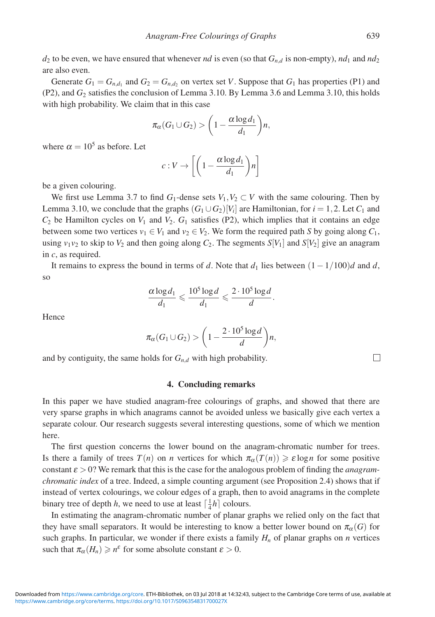$d_2$  to be even, we have ensured that whenever *nd* is even (so that  $G_{n,d}$  is non-empty),  $nd_1$  and  $nd_2$ are also even.

Generate  $G_1 = G_{n,d_1}$  and  $G_2 = G_{n,d_2}$  on vertex set *V*. Suppose that  $G_1$  has properties (P1) and (P2), and *G*<sup>2</sup> satisfies the conclusion of Lemma 3.10. By Lemma 3.6 and Lemma 3.10, this holds with high probability. We claim that in this case

$$
\pi_{\alpha}(G_1 \cup G_2) > \left(1 - \frac{\alpha \log d_1}{d_1}\right) n,
$$

where  $\alpha = 10^5$  as before. Let

$$
c: V \to \left[ \left( 1 - \frac{\alpha \log d_1}{d_1} \right) n \right]
$$

be a given colouring.

We first use Lemma 3.7 to find  $G_1$ -dense sets  $V_1, V_2 \subset V$  with the same colouring. Then by Lemma 3.10, we conclude that the graphs  $(G_1 \cup G_2)[V_i]$  are Hamiltonian, for  $i = 1, 2$ . Let  $C_1$  and  $C_2$  be Hamilton cycles on  $V_1$  and  $V_2$ .  $G_1$  satisfies (P2), which implies that it contains an edge between some two vertices  $v_1 \in V_1$  and  $v_2 \in V_2$ . We form the required path *S* by going along  $C_1$ , using  $v_1v_2$  to skip to  $V_2$  and then going along  $C_2$ . The segments  $S[V_1]$  and  $S[V_2]$  give an anagram in *c*, as required.

It remains to express the bound in terms of *d*. Note that  $d_1$  lies between  $(1 - 1/100)d$  and *d*, so

$$
\frac{\alpha \log d_1}{d_1} \leqslant \frac{10^5 \log d}{d_1} \leqslant \frac{2 \cdot 10^5 \log d}{d}.
$$

**Hence** 

$$
\pi_{\alpha}(G_1 \cup G_2) > \left(1 - \frac{2 \cdot 10^5 \log d}{d}\right) n,
$$

and by contiguity, the same holds for  $G_{n,d}$  with high probability.

## **4. Concluding remarks**

In this paper we have studied anagram-free colourings of graphs, and showed that there are very sparse graphs in which anagrams cannot be avoided unless we basically give each vertex a separate colour. Our research suggests several interesting questions, some of which we mention here.

The first question concerns the lower bound on the anagram-chromatic number for trees. Is there a family of trees  $T(n)$  on *n* vertices for which  $\pi_{\alpha}(T(n)) \geq \varepsilon \log n$  for some positive constant  $\varepsilon > 0$ ? We remark that this is the case for the analogous problem of finding the *anagramchromatic index* of a tree. Indeed, a simple counting argument (see Proposition 2.4) shows that if instead of vertex colourings, we colour edges of a graph, then to avoid anagrams in the complete binary tree of depth *h*, we need to use at least  $\lceil \frac{1}{4}h \rceil$  colours.

In estimating the anagram-chromatic number of planar graphs we relied only on the fact that they have small separators. It would be interesting to know a better lower bound on  $\pi_\alpha(G)$  for such graphs. In particular, we wonder if there exists a family  $H_n$  of planar graphs on *n* vertices such that  $\pi_{\alpha}(H_n) \geq n^{\varepsilon}$  for some absolute constant  $\varepsilon > 0$ .

 $\Box$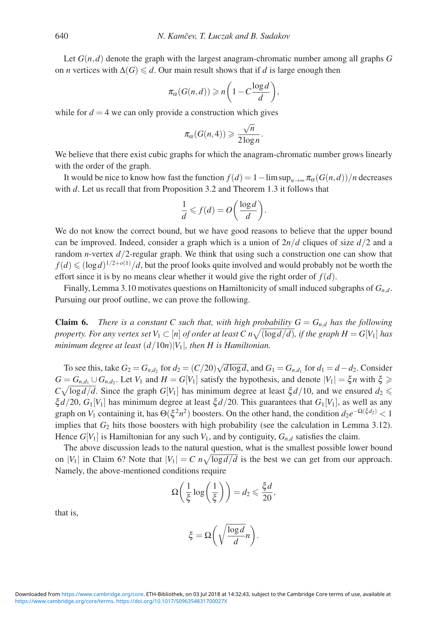Let  $G(n,d)$  denote the graph with the largest anagram-chromatic number among all graphs  $G$ on *n* vertices with  $\Delta(G) \le d$ . Our main result shows that if *d* is large enough then

$$
\pi_{\alpha}(G(n,d)) \geqslant n\bigg(1-C\frac{\log d}{d}\bigg),\,
$$

while for  $d = 4$  we can only provide a construction which gives

$$
\pi_{\alpha}(G(n,4)) \geqslant \frac{\sqrt{n}}{2\log n}
$$

.

We believe that there exist cubic graphs for which the anagram-chromatic number grows linearly with the order of the graph.

It would be nice to know how fast the function  $f(d) = 1 - \limsup_{n \to \infty} \pi_\alpha(G(n, d))/n$  decreases with *d*. Let us recall that from Proposition 3.2 and Theorem 1.3 it follows that

$$
\frac{1}{d} \leqslant f(d) = O\bigg(\frac{\log d}{d}\bigg).
$$

We do not know the correct bound, but we have good reasons to believe that the upper bound can be improved. Indeed, consider a graph which is a union of  $2n/d$  cliques of size  $d/2$  and a random *n*-vertex *d*/2-regular graph. We think that using such a construction one can show that  $f(d) \leqslant (\log d)^{1/2 + o(1)}/d$ , but the proof looks quite involved and would probably not be worth the effort since it is by no means clear whether it would give the right order of  $f(d)$ .

Finally, Lemma 3.10 motivates questions on Hamiltonicity of small induced subgraphs of *Gn*,*<sup>d</sup>*. Pursuing our proof outline, we can prove the following.

**Claim 6.** *There is a constant C such that, with high probability*  $G = G_{n,d}$  *has the following property. For any vertex set*  $V_1 \subset [n]$  *of order at least*  $C \cdot n \sqrt{(\log d/d)}$ *, if the graph*  $H = G[V_1]$  *has minimum degree at least* (*d*/10*n*)|*V*1|*, then H is Hamiltonian.*

To see this, take  $G_2 = G_{n,d_2}$  for  $d_2 = (C/20)\sqrt{d \log d}$ , and  $G_1 = G_{n,d_1}$  for  $d_1 = d - d_2$ . Consider  $G = G_{n,d_1} \cup G_{n,d_2}$ . Let  $V_1$  and  $H = G[V_1]$  satisfy the hypothesis, and denote  $|V_1| = \xi n$  with  $\xi \geq 0$  $C\sqrt{\log d/d}$ . Since the graph  $G[V_1]$  has minimum degree at least  $\xi d/10$ , and we ensured  $d_2 \leq$  $\zeta d/20$ ,  $G_1[V_1]$  has minimum degree at least  $\zeta d/20$ . This guarantees that  $G_1[V_1]$ , as well as any graph on *V*<sub>1</sub> containing it, has  $\Theta(\xi^2 n^2)$  boosters. On the other hand, the condition  $d_2e^{-\Omega(\xi d_2)} < 1$ implies that  $G_2$  hits those boosters with high probability (see the calculation in Lemma 3.12). Hence  $G[V_1]$  is Hamiltonian for any such  $V_1$ , and by contiguity,  $G_{n,d}$  satisfies the claim.

The above discussion leads to the natural question, what is the smallest possible lower bound on |*V*<sub>1</sub>| in Claim 6? Note that  $|V_1| = C n \sqrt{\log d/d}$  is the best we can get from our approach. Namely, the above-mentioned conditions require

$$
\Omega\bigg(\frac{1}{\xi}\log\bigg(\frac{1}{\xi}\bigg)\bigg)=d_2\leqslant\frac{\xi d}{20},
$$

that is,

$$
\xi = \Omega\bigg(\sqrt{\frac{\log d}{d}}n\bigg).
$$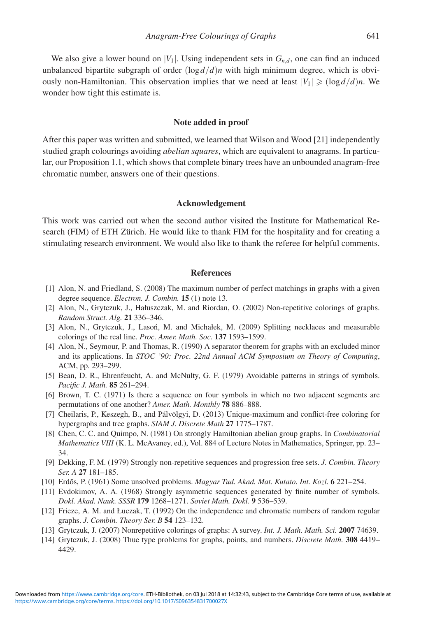We also give a lower bound on  $|V_1|$ . Using independent sets in  $G_{n,d}$ , one can find an induced unbalanced bipartite subgraph of order  $(\log d/d)n$  with high minimum degree, which is obviously non-Hamiltonian. This observation implies that we need at least  $|V_1| \geqslant (\log d/d)n$ . We wonder how tight this estimate is.

#### **Note added in proof**

After this paper was written and submitted, we learned that Wilson and Wood [21] independently studied graph colourings avoiding *abelian squares*, which are equivalent to anagrams. In particular, our Proposition 1.1, which shows that complete binary trees have an unbounded anagram-free chromatic number, answers one of their questions.

### **Acknowledgement**

This work was carried out when the second author visited the Institute for Mathematical Research (FIM) of ETH Zürich. He would like to thank FIM for the hospitality and for creating a stimulating research environment. We would also like to thank the referee for helpful comments.

#### **References**

- [1] Alon, N. and Friedland, S. (2008) The maximum number of perfect matchings in graphs with a given degree sequence. *Electron. J. Combin.* **15** (1) note 13.
- [2] Alon, N., Grytczuk, J., Hałuszczak, M. and Riordan, O. (2002) Non-repetitive colorings of graphs. *Random Struct. Alg.* **21** 336–346.
- [3] Alon, N., Grytczuk, J., Lasoń, M. and Michałek, M. (2009) Splitting necklaces and measurable colorings of the real line. *Proc. Amer. Math. Soc.* **137** 1593–1599.
- [4] Alon, N., Seymour, P. and Thomas, R. (1990) A separator theorem for graphs with an excluded minor and its applications. In *STOC '90: Proc. 22nd Annual ACM Symposium on Theory of Computing*, ACM, pp. 293–299.
- [5] Bean, D. R., Ehrenfeucht, A. and McNulty, G. F. (1979) Avoidable patterns in strings of symbols. *Pacific J. Math.* **85** 261–294.
- [6] Brown, T. C. (1971) Is there a sequence on four symbols in which no two adjacent segments are permutations of one another? *Amer. Math. Monthly* **78** 886–888.
- [7] Cheilaris, P., Keszegh, B., and Pálvölgyi, D. (2013) Unique-maximum and conflict-free coloring for hypergraphs and tree graphs. *SIAM J. Discrete Math* **27** 1775–1787.
- [8] Chen, C. C. and Quimpo, N. (1981) On strongly Hamiltonian abelian group graphs. In *Combinatorial Mathematics VIII* (K. L. McAvaney, ed.), Vol. 884 of Lecture Notes in Mathematics, Springer, pp. 23– 34.
- [9] Dekking, F. M. (1979) Strongly non-repetitive sequences and progression free sets. *J. Combin. Theory Ser. A* **27** 181–185.
- [10] Erdős, P. (1961) Some unsolved problems. *Magyar Tud. Akad. Mat. Kutato. Int. Kozl.* 6 221–254.
- [11] Evdokimov, A. A. (1968) Strongly asymmetric sequences generated by finite number of symbols. *Dokl. Akad. Nauk. SSSR* **179** 1268–1271. *Soviet Math. Dokl.* **9** 536–539.
- [12] Frieze, A. M. and Łuczak, T. (1992) On the independence and chromatic numbers of random regular graphs. *J. Combin. Theory Ser. B* **54** 123–132.
- [13] Grytczuk, J. (2007) Nonrepetitive colorings of graphs: A survey. *Int. J. Math. Math. Sci.* **2007** 74639.
- [14] Grytczuk, J. (2008) Thue type problems for graphs, points, and numbers. *Discrete Math.* **308** 4419– 4429.